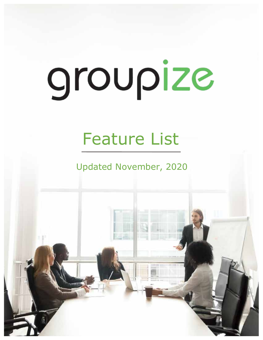## Feature List

Updated November, 2020

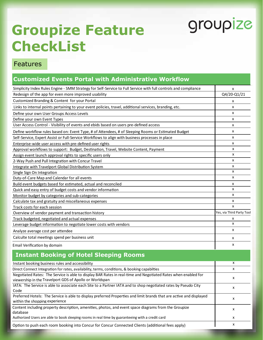x

x

## **Groupize Feature CheckList**

#### Features

#### **Customized Events Portal with Administrative Workflow**

| Simplicity Index Rules Engine - SMM Strategy for Self-Service to Full Service with full controls and compliance                                                          | x                         |
|--------------------------------------------------------------------------------------------------------------------------------------------------------------------------|---------------------------|
| Redesign of the app for even more improved usability                                                                                                                     | Q4/20-Q1/21               |
| Customized Branding & Content for your Portal                                                                                                                            | x                         |
| Links to internal points pertaining to your event policies, travel, additional services, branding, etc.                                                                  | x                         |
| Define your own User Groups Access Levels                                                                                                                                | x                         |
| Define your own Event Types                                                                                                                                              | x                         |
| User Access Control - Visibility of events and ebids based on users pre-defined access                                                                                   | x                         |
| Define workflow rules based on: Event Type, # of Attendees, # of Sleeping Rooms or Estimated Budget                                                                      | x                         |
| Self-Service, Expert Assist or Full-Service Workflows to align with business processes in place                                                                          | x                         |
| Enterprise-wide user access with pre-defined user rights                                                                                                                 | x                         |
| Approval workflows to support: Budget, Destination, Travel, Website Content, Payment                                                                                     | x                         |
| Assign event launch approval rights to specific users only                                                                                                               | x                         |
| 2-Way Push and Pull Integration with Concur Travel                                                                                                                       | x                         |
| Integrate with Travelport Global Distribution System                                                                                                                     | x                         |
| Single Sign On Integration                                                                                                                                               | x                         |
| Duty-of-Care Map and Calendar for all events                                                                                                                             | x                         |
| Build event budgets based for estimated, actual and reconciled                                                                                                           | х                         |
| Quick and easy entry of budget costs and vendor information                                                                                                              | x                         |
| Monitor budget by categories and sub-categories                                                                                                                          | x                         |
| Calculate tax and gratuity and miscellaneous expenses                                                                                                                    | x                         |
| Track costs for each session                                                                                                                                             | x                         |
| Overview of vendor payment and transaction history                                                                                                                       | Yes, via Third Party Tool |
| Track budgeted, negotiated and actual expenses                                                                                                                           | x                         |
| Leverage budget information to negotiate lower costs with vendors                                                                                                        | x                         |
| Analyze average cost per attendee                                                                                                                                        | x                         |
| Calculte total meetings spend per business unit                                                                                                                          | x                         |
| Email Verification by domain                                                                                                                                             | x                         |
| <b>Instant Booking of Hotel Sleeping Rooms</b>                                                                                                                           |                           |
| Instant booking business rules and accessibility                                                                                                                         | x                         |
| Direct Connect Integration for rates, availability, terms, conditions, & booking capabilties                                                                             | x                         |
| Negotiated Rates: The Service is able to display BAR Rates in real-time and Negotiated Rates when enabled for<br>viewership in the Travelport GDS of Apollo or Worldspan | x                         |
| IATA: The Service is able to associate each Site to a Partner IATA and to shop negotiated rates by Pseudo City<br>Code                                                   | х                         |
| Preferred Hotels: The Service is able to display preferred Properties and limit brands that are active and displayed<br>within the shopping experience                   | x                         |
| Content including property description, amenities, photos, and event space diagrams from the Groupize<br>database                                                        | х                         |

Authorized Users are able to book sleeping rooms in real time by guaranteeing with a credit card

Option to push each room booking into Concur for Concur Connected Clients (additional fees apply)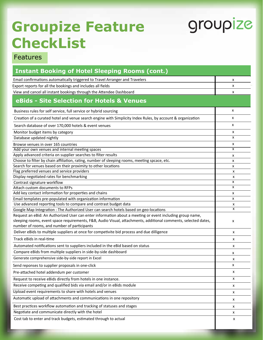## **Groupize Feature CheckList**

# groupize

| <b>Instant Booking of Hotel Sleeping Rooms (cont.)</b>                                                                                    |              |  |
|-------------------------------------------------------------------------------------------------------------------------------------------|--------------|--|
| Email confirmations automatically triggered to Travel Arranger and Travelers                                                              | x            |  |
| Export reports for all the bookings and includes all fields                                                                               | x            |  |
| View and cancel all instant bookings through the Attendee Dashboard                                                                       | x            |  |
| eBids - Site Selection for Hotels & Venues                                                                                                |              |  |
| Business rules for self service, full service or hybrid sourcing                                                                          | x            |  |
| Creation of a curated hotel and venue search engine with Simplicity Index Rules, by account & organization                                | $\mathsf{x}$ |  |
| Search database of over 170,000 hotels & event venues                                                                                     |              |  |
| Monitor budget items by category                                                                                                          | x            |  |
| Database updated nightly                                                                                                                  | x            |  |
| Browse venues in over 165 countries                                                                                                       | X            |  |
| Add your own venues and internal meeting spaces                                                                                           | X            |  |
| Apply advanced criteria on supplier searches to filter results                                                                            | x            |  |
| Choose to filter by chain affiliation, rating, number of sleeping rooms, meeting spcace, etc.                                             | x            |  |
| Search for venues based on their proximity to other locations                                                                             | x            |  |
| Flag preferred venues and service providers                                                                                               | x            |  |
| Display negotiated rates for benchmarking                                                                                                 | x            |  |
| Contrast signature workflow                                                                                                               | x            |  |
| Attach custom documents to RFPs                                                                                                           | x            |  |
| Add key contact information for properties and chains                                                                                     | x            |  |
| Email templates pre-populated with organization information                                                                               | x            |  |
| Use advanced reporting tools to compare and contrast budget data                                                                          | x<br>x       |  |
| Google Map Integration : The Authorized User can search hotels based on geo-locations                                                     |              |  |
| Request an eBid: An Authorized User can enter information about a meeting or event including group name,                                  |              |  |
| sleeping rooms, event space requirements, F&B, Audio Visual, attachments, additional comments, selected dates,                            | x            |  |
| number of rooms, and number of participants<br>Deliver eBids to multiple suppliers at once for competivite bid process and due dilligence | x            |  |
| Track eBids in real-time                                                                                                                  | x            |  |
| Automated notifications sent to suppliers included in the eBid based on status                                                            | x            |  |
| Compare eBids from multiple suppliers in side-by-side dashboard                                                                           |              |  |
| Generate comprehensive side-by-side report in Excel                                                                                       | x<br>x       |  |
| Send reponses to supplier proposals in one-click                                                                                          | x            |  |
| Pre-attached hotel addendum per customer                                                                                                  | X            |  |
| Request to receive eBids directly from hotels in one instance.                                                                            | X            |  |
| Receive competing and qualified bids via email and/or in eBids module                                                                     | X            |  |
| Upload event requirements to share with hotels and venues                                                                                 | X            |  |
| Automatic upload of attachments and communications in one repository                                                                      | x            |  |
| Best practices workflow automation and tracking of statuses and stages                                                                    | X            |  |
| Negotiate and communicate directly with the hotel                                                                                         | x            |  |
| Cost tab to enter and track budgets, estimated through to actual                                                                          | x            |  |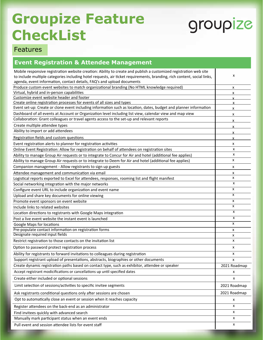## **Groupize Feature CheckList**

# groupize

| <b>Event Registration &amp; Attendee Management</b>                                                                                                                                                                                                                                                                    |              |
|------------------------------------------------------------------------------------------------------------------------------------------------------------------------------------------------------------------------------------------------------------------------------------------------------------------------|--------------|
| Mobile responsive registration website creation: Ability to create and publish a customized registration web site<br>to include multiple categories including hotel requests, air ticket requirements, branding, rich content, social links,<br>agenda, event information, contact details, FAQ's and upload documents | x            |
| Produce custom event websites to match organizational branding (No HTML knowledge required)                                                                                                                                                                                                                            | x            |
| Virtual, hybrid and in-person capabilities                                                                                                                                                                                                                                                                             |              |
| Customize event website header and footer                                                                                                                                                                                                                                                                              |              |
| Create online registration processes for events of all sizes and types                                                                                                                                                                                                                                                 | x            |
| Event set-up: Create or clone event including information such as location, dates, budget and planner information                                                                                                                                                                                                      | x            |
| Dashboard of all events at Account or Organization level including list view, calendar view and map view                                                                                                                                                                                                               | x            |
| Collaboration: Grant colleagues or travel agents access to the set-up and relevant reports                                                                                                                                                                                                                             | x            |
| Create multiple attendee types                                                                                                                                                                                                                                                                                         |              |
| Ability to import or add attendees                                                                                                                                                                                                                                                                                     |              |
| Registration fields and custom questions                                                                                                                                                                                                                                                                               | x            |
| Event registration alerts to planner for registration activities                                                                                                                                                                                                                                                       | x            |
| Online Event Registration: Allow for registration on behalf of attendees on registration sites                                                                                                                                                                                                                         | x            |
| Ability to manage Group Air requests or to integrate to Concur for Air and hotel (additional fee applies)                                                                                                                                                                                                              | x            |
| Ability to manage Group Air requests or to integrate to Deem for Air and hotel (additional fee applies)                                                                                                                                                                                                                | x            |
| Companion management - Allow registrants to sign up guests                                                                                                                                                                                                                                                             | x            |
| Attendee management and communication via email                                                                                                                                                                                                                                                                        | x            |
| Logistical reports exported to Excel for attendees, responses, rooming list and flight manifest                                                                                                                                                                                                                        | x            |
| Social networking integration with the major networks                                                                                                                                                                                                                                                                  | x            |
| Configure event URL to include organization and event name                                                                                                                                                                                                                                                             | x            |
| Upload and share key documents for online viewing                                                                                                                                                                                                                                                                      | x            |
| Promote event sponsors on event website                                                                                                                                                                                                                                                                                | x            |
| Include links to related websites                                                                                                                                                                                                                                                                                      | x            |
| Location directions to registrants with Google Maps integration                                                                                                                                                                                                                                                        | x            |
| Post a live event website the instant event is launched                                                                                                                                                                                                                                                                | х            |
| Google Maps for locations                                                                                                                                                                                                                                                                                              | x            |
| Pre-populate contact information on registration forms                                                                                                                                                                                                                                                                 | x            |
| Designate required input fields                                                                                                                                                                                                                                                                                        | x            |
| Restrict registration to those contacts on the invitation list                                                                                                                                                                                                                                                         | X            |
| Option to password protect registration process                                                                                                                                                                                                                                                                        | x            |
| Ability for registrants to forward invitations to colleagues during registration                                                                                                                                                                                                                                       | x            |
| Support registrant upload of presentations, abstracts, biographies or other documents                                                                                                                                                                                                                                  | x            |
| Create dynamic registration paths based on contact type, such as exhibitor, attendee or speaker                                                                                                                                                                                                                        | 2021 Roadmap |
| Accept registrant modicifications or cancellations up until specified dates                                                                                                                                                                                                                                            | x            |
| Create either included or optional sessions                                                                                                                                                                                                                                                                            | x            |
| Limit selection of sessions/activities to specific invitee segments                                                                                                                                                                                                                                                    | 2021 Roadmap |
| Ask registrants conditional questions only after sessions are chosen                                                                                                                                                                                                                                                   | 2021 Roadmap |
| Opt to automatically close an event or session when it reaches capacity                                                                                                                                                                                                                                                | x            |
| Register attendees on the back-end as an administrator                                                                                                                                                                                                                                                                 | x            |
| Find invitees quickly with advanced search                                                                                                                                                                                                                                                                             | x            |
| Manually mark participant status when an event ends                                                                                                                                                                                                                                                                    | x            |
| Pull event and session attendee lists for event staff                                                                                                                                                                                                                                                                  | x            |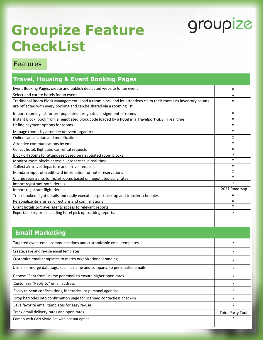x

## **Groupize Feature CheckList**

#### Features

| <b>Travel, Housing &amp; Event Booking Pages</b>                                                                                                                                      |                  |
|---------------------------------------------------------------------------------------------------------------------------------------------------------------------------------------|------------------|
| Event Booking Pages: create and publish dedicated website for an event                                                                                                                | х                |
| Select and curate hotels for an event                                                                                                                                                 | x                |
| Traditional Room Block Management: Load a room block and let attendees claim their rooms as inventory counts<br>are reflected with every booking and can be shared via a rooming list |                  |
| Import rooming list for pre-populated designated assignment of rooms                                                                                                                  |                  |
| Instant Block: book from a negotiated block code loaded by a hotel in a Travelport GDS in real time                                                                                   |                  |
| Define payment options for rooms                                                                                                                                                      | x                |
| Manage rooms by attendee or event organizer                                                                                                                                           | X                |
| Online cancellation and modifications                                                                                                                                                 | X                |
| Attendee communications by email                                                                                                                                                      | x                |
| Collect hotel, flight and car rental requests                                                                                                                                         | х                |
| Block off rooms for attendees based on negotiated room blocks                                                                                                                         | x                |
| Monitor room blocks across all properties in real-time                                                                                                                                | X                |
| Collect air travel departure and arrival requests                                                                                                                                     | x<br>x           |
| Mandate input of credit card information for hotel reservations                                                                                                                       |                  |
| Charge registrants for hotel rooms based on negotiated daily rates<br>Import registrant hotel details                                                                                 |                  |
| Import registrant flight details                                                                                                                                                      | 2021 Roadmap     |
| Track booked flight details and easily execute airport pick-up and transfer schedules                                                                                                 | х                |
| Personalize itineraries, directions and confirmations                                                                                                                                 | X                |
| Grant hotels or travel agents access to relevant reports                                                                                                                              |                  |
| Exportable reports including hotel pick up tracking reports.                                                                                                                          | x                |
|                                                                                                                                                                                       |                  |
| <b>Email Marketing</b>                                                                                                                                                                |                  |
| Targeted event email communications and customizable email templates                                                                                                                  | x                |
| Create, save and re-use email templates                                                                                                                                               | х                |
| Customize email templates to match organizational branding                                                                                                                            | x                |
| Use mail-merge data tags, such as name and company, to personalize emails                                                                                                             | x                |
| Choose "Sent from" name per email to ensure higher open rates                                                                                                                         | x                |
| Customize "Reply to" email address                                                                                                                                                    | x                |
| Easily re-send confirmations, itineraries, or personal agendas                                                                                                                        | x                |
| Drop barcodes into confirmation page for scanned contactless check-in                                                                                                                 | x                |
| Save favorite email templates for easy re-use                                                                                                                                         | x                |
| Track email delivery rates and open rates                                                                                                                                             | Third Party Tool |

Comply with CAN-SPAM Act with opt out option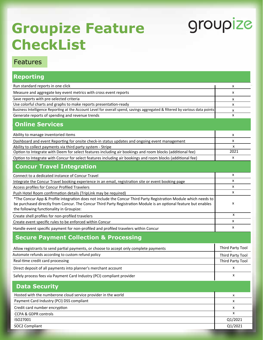## **Groupize Feature CheckList**

# groupize

| <b>Reporting</b>                                                                                                                                                                                                                     |                    |
|--------------------------------------------------------------------------------------------------------------------------------------------------------------------------------------------------------------------------------------|--------------------|
| Run standard reports in one click                                                                                                                                                                                                    | x                  |
| Measure and aggregate key event metrics with cross event reports                                                                                                                                                                     | x                  |
| Save reports with pre-selected criteria                                                                                                                                                                                              |                    |
| Use colorful charts and graphs to make reports presentation-ready                                                                                                                                                                    | x                  |
| Business Intelligence Reporting at the Account Level for overall spend, savings aggregated & filtered by various data points                                                                                                         |                    |
| Generate reports of spending and revenue trends                                                                                                                                                                                      | x                  |
| <b>Online Services</b>                                                                                                                                                                                                               |                    |
| Ability to manage inventoried items                                                                                                                                                                                                  | x                  |
| Dashboard and event Reporting for onsite check-in status updates and ongoing event management                                                                                                                                        | x                  |
| Ability to collect payments via third party system - Stripe                                                                                                                                                                          | X                  |
| Option to Integrate with Deem for select features including air bookings and room blocks (additional fee)                                                                                                                            | 2021               |
| Option to Integrate with Concur for select features including air bookings and room blocks (additional fee)                                                                                                                          | x                  |
| <b>Concur Travel Integration</b>                                                                                                                                                                                                     |                    |
| Connect to a dedicated instance of Concur Travel                                                                                                                                                                                     | x                  |
| Integrate the Concur Travel booking experience in an email, registration site or event booking page                                                                                                                                  | x                  |
| Access profiles for Concur Profiled Travelers                                                                                                                                                                                        | x                  |
| Push Hotel Room confirmation details (TripLink may be required)                                                                                                                                                                      | x                  |
| *The Concur App & Profile integration does not include the Concur Third Party Registration Module which needs to<br>be purchased directly from Concur. The Concur Third Party Registration Module is an optional feature but enables | х                  |
| the following functionality in Groupize:                                                                                                                                                                                             | X                  |
| Create shell profiles for non-profiled travelers                                                                                                                                                                                     |                    |
| Create event specific rules to be enforced within Concur                                                                                                                                                                             | x                  |
| Handle event specific payment for non-profiled and profiled travelers within Concur                                                                                                                                                  |                    |
| <b>Secure Payment Collection &amp; Processing</b>                                                                                                                                                                                    |                    |
| Allow registrants to send partial payments, or choose to accept only complete payments                                                                                                                                               | Third Party Tool   |
| Automate refunds according to custom refund policy                                                                                                                                                                                   | Third Party Tool   |
| Real-time credit card processing                                                                                                                                                                                                     | Third Party Tool   |
| Direct deposit of all payments into planner's merchant account                                                                                                                                                                       | X                  |
| Safely process fees via Payment Card Industry (PCI) compliant provider                                                                                                                                                               | $\pmb{\mathsf{X}}$ |
| <b>Data Security</b>                                                                                                                                                                                                                 |                    |
| Hosted with the numberone cloud service provider in the world                                                                                                                                                                        | X                  |
| Payment Card Industry (PCI) DSS compliant                                                                                                                                                                                            | X                  |
| Credit card number encryption                                                                                                                                                                                                        | x                  |
| CCPA & GDPR controls                                                                                                                                                                                                                 | X                  |
| ISO27001                                                                                                                                                                                                                             | Q1/2021            |
| SOC2 Compliant                                                                                                                                                                                                                       | Q1/2021            |